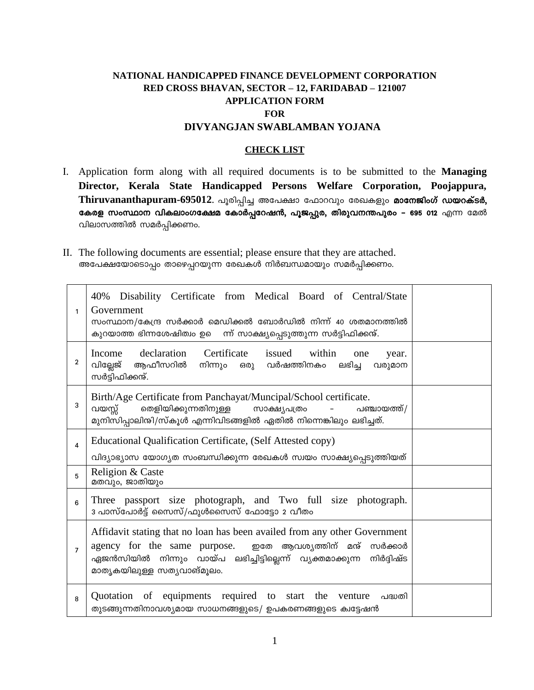# **NATIONAL HANDICAPPED FINANCE DEVELOPMENT CORPORATION RED CROSS BHAVAN, SECTOR – 12, FARIDABAD – 121007 APPLICATION FORM FOR DIVYANGJAN SWABLAMBAN YOJANA**

## **CHECK LIST**

- I. Application form along with all required documents is to be submitted to the **Managing Director, Kerala State Handicapped Persons Welfare Corporation, Poojappura,**  Thiruvananthapuram-695012. പൂരിപ്പിച്ച അപേക്ഷാ ഫോറവും രേഖകളും മാനേജിംഗ് ഡയറക്ടർ, കേരള സംസ്ഥാന വികലാംഗക്ഷേമ കോർപ്പറേഷൻ, പൂജപ്പുര, തിരുവനന്തപുരം – 695 012 എന്ന മേൽ വിലാസത്തിൽ സമർപ്പിക്കണം.
- II. The following documents are essential; please ensure that they are attached. അപേക്ഷയോടൊപ്പം താഴെപ്പറയുന്ന രേഖകൾ നിർബന്ധമായും സമർപ്പിക്കണം.

| 1              | 40% Disability Certificate from Medical Board of Central/State<br>Government<br>സംസ്ഥാന/കേന്ദ്ര സർക്കാർ മെഡിക്കൽ ബോർഡിൽ നിന്ന് 40 ശതമാനത്തിൽ<br>കുറയാത്ത ഭിന്നശേഷിത്വം ഉെ ന്ന് സാക്ഷ്യപ്പെടുത്തുന്ന സർട്ടിഫിക്കന്മ്.                           |  |  |
|----------------|------------------------------------------------------------------------------------------------------------------------------------------------------------------------------------------------------------------------------------------------|--|--|
| 2              | declaration<br>Certificate<br>issued within<br>Income<br>one<br>year.<br>ആഫീസറിൽ<br>വില്ലേജ്<br>നിന്നും ഒരു വർഷത്തിനകം<br>ലഭിച്ച<br>വരുമാന<br>സർട്ടിഫിക്കന്ക്.                                                                                 |  |  |
| 3              | Birth/Age Certificate from Panchayat/Muncipal/School certificate.<br>തെളിയിക്കുന്നതിനുള്ള സാക്ഷ്യപത്രം<br>വയസ്സ്<br>പഞ്ചായത്ത്/<br>മുനിസിപ്പാലിന്മി/സ്കൂൾ എന്നിവിടങ്ങളിൽ ഏതിൽ നിന്നെങ്കിലും ലഭിച്ചത്.                                          |  |  |
| 4              | Educational Qualification Certificate, (Self Attested copy)<br>വിദ്യാഭ്യാസ യോഗ്യത സംബന്ധിക്കുന്ന രേഖകൾ സ്വയം സാക്ഷ്യപ്പെടുത്തിയത്                                                                                                              |  |  |
| 5              | Religion & Caste<br>മതവും, ജാതിയും                                                                                                                                                                                                             |  |  |
| 6              | Three passport size photograph, and Two full size photograph.<br>3 പാസ്പോർട്ട് സൈസ്/ഫുൾസൈസ് ഫോട്ടോ 2 വീതം                                                                                                                                      |  |  |
| $\overline{7}$ | Affidavit stating that no loan has been availed from any other Government<br>agency for the same purpose. ഇതേ ആവശ്യത്തിന് മന്മ് സർക്കാർ<br>ഏജൻസിയിൽ നിന്നും വായ്പ ലഭിച്ചിട്ടില്ലെന്ന് വ്യക്തമാക്കുന്ന<br>നിർദിഷ്ട<br>മാതൃകയിലുള്ള സതൃവാങ്മൂലം. |  |  |
| 8              | Quotation of equipments required to start<br>the<br>venture പദ്ധതി<br>തുടങ്ങുന്നതിനാവശ്യമായ സാധനങ്ങളുടെ/ ഉപകരണങ്ങളുടെ ക്വട്ടേഷൻ                                                                                                                |  |  |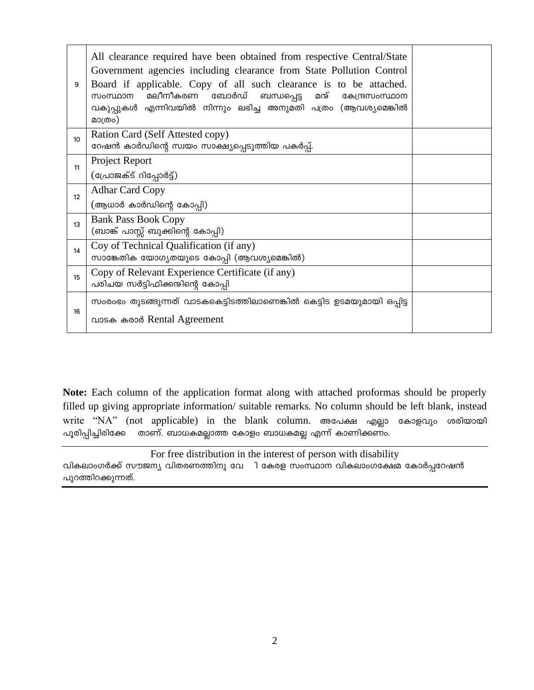| 9  | All clearance required have been obtained from respective Central/State<br>Government agencies including clearance from State Pollution Control<br>Board if applicable. Copy of all such clearance is to be attached.<br>മലീനീകരണ<br>ബോർഡ്<br>സംസ്ഥാന<br>മന്<br>ബന്ധപ്പെട്ട<br>കേന്ദ്രസംസ്ഥാന<br>വകുപ്പുകൾ എന്നിവയിൽ നിന്നും ലഭിച്ച അനുമതി പത്രം (ആവശ്യമെങ്കിൽ<br>മാത്രം) |  |
|----|---------------------------------------------------------------------------------------------------------------------------------------------------------------------------------------------------------------------------------------------------------------------------------------------------------------------------------------------------------------------------|--|
| 10 | Ration Card (Self Attested copy)<br>റേഷൻ കാർഡിന്റെ സ്വയം സാക്ഷ്യപ്പെടുത്തിയ പകർപ്പ്.                                                                                                                                                                                                                                                                                      |  |
| 11 | Project Report                                                                                                                                                                                                                                                                                                                                                            |  |
|    | (പ്രോജക്ട് റിപ്പോർട്ട്)                                                                                                                                                                                                                                                                                                                                                   |  |
| 12 | <b>Adhar Card Copy</b>                                                                                                                                                                                                                                                                                                                                                    |  |
|    | (ആധാർ കാർഡിന്റെ കോപ്പി)                                                                                                                                                                                                                                                                                                                                                   |  |
| 13 | <b>Bank Pass Book Copy</b>                                                                                                                                                                                                                                                                                                                                                |  |
|    | (ബാങ്ക് പാസ്സ് ബുക്കിന്റെ കോപ്പി)                                                                                                                                                                                                                                                                                                                                         |  |
| 14 | Coy of Technical Qualification (if any)                                                                                                                                                                                                                                                                                                                                   |  |
|    | സാങ്കേതിക യോഗ്യതയുടെ കോപ്പി (ആവശ്യമെങ്കിൽ)                                                                                                                                                                                                                                                                                                                                |  |
| 15 | Copy of Relevant Experience Certificate (if any)<br>പരിചയ സർട്ടിഫിക്കന്ദിന്റെ കോപ്പി                                                                                                                                                                                                                                                                                      |  |
|    | സംരംഭം തുടങ്ങുന്നത് വാടകകെട്ടിടത്തിലാണെങ്കിൽ കെട്ടിട ഉടമയുമായി ഒപ്പിട്ട                                                                                                                                                                                                                                                                                                   |  |
| 16 |                                                                                                                                                                                                                                                                                                                                                                           |  |
|    | വാടക കരാർ Rental Agreement                                                                                                                                                                                                                                                                                                                                                |  |

Note: Each column of the application format along with attached proformas should be properly filled up giving appropriate information/ suitable remarks. No column should be left blank, instead write "NA" (not applicable) in the blank column. അപേക്ഷ എല്ലാ കോളവും ശരിയായി താണ്. ബാധകമല്ലാത്ത കോളം ബാധകമല്ല എന്ന് കാണിക്കണം. പൂരിപ്പിച്ചിരിക്കേ

For free distribution in the interest of person with disability വികലാംഗർക്ക് സൗജന്യ വിതരണത്തിനു വേ ി കേരള സംസ്ഥാന വികലാംഗക്ഷേമ കോർപ്പറേഷൻ പുറത്തിറക്കുന്നത്.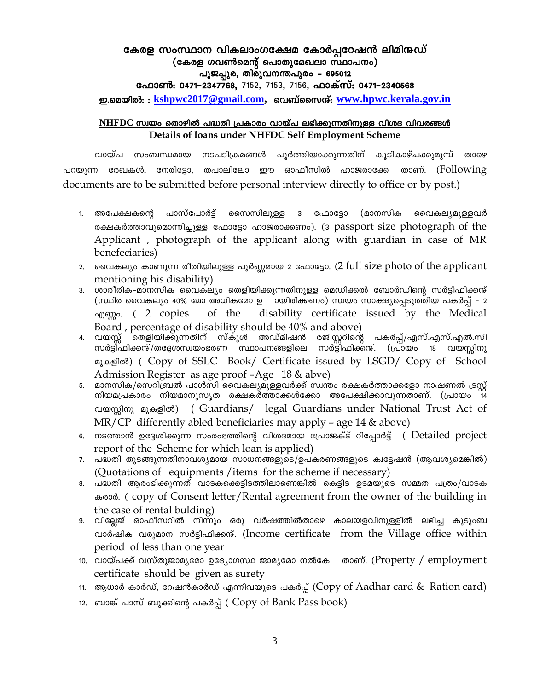# കേരള സംസ്ഥാന വികലാംഗക്ഷേമ കോർപ്പറേഷൻ ലിമിനുഡ് (കേരള ഗവൺമെന്റ് പൊതുമേഖലാ സ്ഥാപനം) പൂജപ്പുര, തിരുവനന്തപുരം – 695012

ഫോൺ: 0471-2347768, 7152, 7153, 7156, ഫാക്സ്: 0471-2340568

ഇ.മെയിൽ: : kshpwc2017@gmail.com, വെബ്സൈന്റ്: www.hpwc.kerala.gov.in

# NHFDC സ്വയം തൊഴിൽ പദ്ധതി പ്രകാരം വായ്പ ലഭിക്കുന്നതിനുള്ള വിശദ വിവരങ്ങൾ Details of loans under NHFDC Self Employment Scheme

വായ്പ സംബന്ധമായ നടപടിക്രമങ്ങൾ പൂർത്തിയാക്കുന്നതിന് കൂടികാഴ്ചക്കുമുമ്പ് താഴെ പറയുന്ന രേഖകൾ, നേരിട്ടോ, തപാലിലോ ഈ ഓഫീസിൽ ഹാജരാക്കേ താണ്. (Following documents are to be submitted before personal interview directly to office or by post.)

- പാസ്പോർട്ട് സൈസിലുള്ള 3 ഫോട്ടോ (മാനസിക 1. അപേക്ഷകന്റെ വൈകല്യമുള്ളവർ രക്ഷകർത്താവുമൊന്നിച്ചുള്ള ഫോട്ടോ ഹാജരാക്കണം). (3 passport size photograph of the Applicant, photograph of the applicant along with guardian in case of MR benefeciaries)
- 2. വൈകല്യം കാണുന്ന രീതിയിലുള്ള പൂർണ്ണമായ 2 ഫോട്ടോ. (2 full size photo of the applicant mentioning his disability)
- 3. ശാരീരിക–മാനസിക വൈക്ല്യം തെളിയിക്കുന്നതിനുള്ള മെഡിക്കൽ ബോർഡിന്റെ സർട്ടിഫിക്കന്ക് (സ്ഥിര വൈകല്യം 40% മോ അധികമോ ഉ ായിരിക്കണം) സ്വയം സാക്ഷ്യപ്പെടുത്തിയ പകർപ്പ് – 2 disability certificate issued by the Medical  $\gamma$  and  $\gamma$  and  $\gamma$  and  $\gamma$  and  $\gamma$  and  $\gamma$  and  $\gamma$  copies of the Board, percentage of disability should be 40% and above)
- 4. വയസ്സ് മതളിയിക്കുന്നതിന് സ്കൂൾ അഡ്മിഷൻ രജിസ്റ്ററിന്റെ പകർപ്പ്/എസ്.എസ്.എൽ.സി സർട്ടി്ഫിക്കന്മ്/തദ്ദേശസ്വയംഭരണ സ്ഥാപനങ്ങളിലെ സർട്ടി്ഫിക്കന്മ്. (പ്രായം 18 വയസ്സിനു മുകളിൽ) ( Copy of SSLC Book/ Certificate issued by LSGD/ Copy of School Admission Register as age proof -Age 18 & abve)
- 5. മാനസിക/സെറിബ്രൽ പാൾസി വൈകല്യമുള്ളവർക്ക് സ്വന്തം രക്ഷകർത്താക്കളോ നാഷണൽ ട്രസ്റ്റ് നിയമപ്രകാരം നിയമാനുസൃത രക്ഷകർത്താക്കൾക്കോ അപേക്ഷിക്കാവുന്നതാണ്. (പ്രായം 14 (Guardians/ legal Guardians under National Trust Act of വയസ്സിനു മുകളിൽ)  $MR/CP$  differently abled beneficiaries may apply – age 14 & above)
- 6. നടത്താൻ ഉദ്ദേശിക്കുന്ന സംരംഭത്തിന്റെ വിശദമായ പ്രോജക്ട് റിപ്പോർട്ട് ( Detailed project report of the Scheme for which loan is applied)
- 7. പദ്ധതി തുടങ്ങുന്നതിനാവശ്യമായ സാധനങ്ങളുടെ/ഉപകരണങ്ങളുടെ ക്വട്ടേഷൻ (ആവശ്യമെങ്കിൽ) (Quotations of equipments / items for the scheme if necessary)
- 8. പദ്ധതി ആരംഭിക്കുന്നത് വാടകക്കെട്ടിടത്തിലാണെങ്കിൽ കെട്ടിട ഉടമയുടെ സമ്മത പത്രം/വാടക കരാർ. (copy of Consent letter/Rental agreement from the owner of the building in the case of rental bulding)
- 9. വില്ലേജ് ഓഫീസറിൽ നിന്നും ഒരു വർഷത്തിൽതാഴെ കാലയളവിനുള്ളിൽ ലഭിച്ച കുടുംബ വാർഷിക വരുമാന സർട്ടിഫിക്കന്. (Income certificate from the Village office within period of less than one year
- 10. വായ്പക്ക് വസ്തുജാമ്യമോ ഉദ്യോഗസ്ഥ ജാമ്യമോ നൽകേ താണ്. ( $Property /$  employment certificate should be given as surety
- 11. ആധാർ കാർഡ്, റേഷൻകാർഡ് എന്നിവയുടെ പകർപ്പ് (Copy of Aadhar card & Ration card)
- 12. ബാങ്ക് പാസ് ബുക്കിന്റെ പകർപ്പ് ( Copy of Bank Pass book)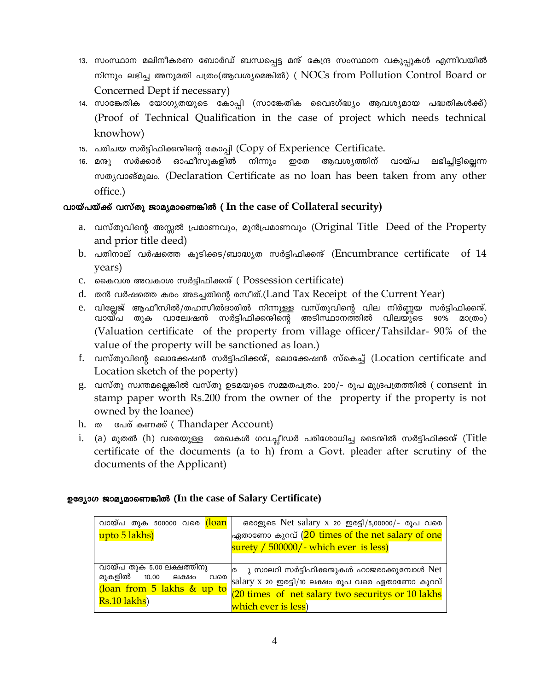- 13. സംസ്ഥാന മലിനീകരണ ബോർഡ് ബന്ധപ്പെട്ട മന്ദ് കേന്ദ്ര സംസ്ഥാന വകുപ്പുകൾ എന്നിവയിൽ നിന്നും ലഭിച്ച അനുമതി പത്രം(ആവശ്യമെങ്കിൽ) ( NOCs from Pollution Control Board or Concerned Dept if necessary)
- 14. സാങ്കേതിക യോഗൃതയുടെ കോപ്പി (സാങ്കേതിക വൈദഗ്ദ്ധ്യം ആവശ്യമായ പദ്ധതികൾക്ക്) (Proof of Technical Qualification in the case of project which needs technical knowhow)
- 15. പരിചയ സർട്ടിഫിക്കന്റിന്റെ കോപ്പി (Copy of Experience Certificate.
- ഓഫീസുകളിൽ നിന്നും ഇതേ ആവശ്യത്തിന് വായ്പ ലഭിച്ചിട്ടില്ലെന്ന 16. മനു സർക്കാർ mongalogique (Declaration Certificate as no loan has been taken from any other office.)

# വായ്പയ്ക്ക് വസ്തു ജാമൃമാണെങ്കിൽ (In the case of Collateral security)

- a. വസ്തുവിന്റെ അസ്സൽ പ്രമാണവും, മുൻപ്രമാണവും (Original Title Deed of the Property and prior title deed)
- b. പതിനാല് വർഷത്തെ കുടിക്കട/ബാദ്ധ്യത സർട്ടിഫിക്കന്ദ് (Encumbrance certificate of 14 years)
- c. കൈവശ അവകാശ സർട്ടിഫിക്കന്ദ് ( Possession certificate)
- d. തൻ വർഷത്തെ കരം അടച്ചതിന്റെ രസീത്.(Land Tax Receipt of the Current Year)
- e. വില്ലേജ് ആഫീസിൽ/തഹസീൽദാരിൽ നിന്നുള്ള വസ്തുവിന്റെ വില നിർണ്ണയ സർട്ടിഫിക്കന്മ്. വായ്പ തുക വാലേഷൻ സർട്ടിഫിക്കന്ദിന്റെ അടിസ്ഥാനത്തിൽ വിലയു്ടെ 90% മാത്രം) (Valuation certificate of the property from village officer/Tahsildar-90% of the value of the property will be sanctioned as loan.)
- f. വസ്തുവിന്റെ ലൊക്കേഷൻ സർട്ടിഫിക്കന്ദ്, ലൊക്കേഷൻ സ്കെച്ച് (Location certificate and Location sketch of the poperty)
- g. വസ്തു സ്വന്തമല്ലെങ്കിൽ വസ്തു ഉടമയുടെ സമ്മതപത്രം. 200/- രൂപ മുദ്രപത്രത്തിൽ ( consent in stamp paper worth Rs.200 from the owner of the property if the property is not owned by the loanee)
- h. ை പേര് കണക്ക് (Thandaper Account)
- i. (a) മുതൽ (h) വരെയുള്ള രേഖകൾ ഗവ.പ്ലീഡർ പരിശോധിച്ച ടൈന്ദിൽ സർട്ടിഫിക്കന്മ് (Title certificate of the documents (a to h) from a Govt. pleader after scrutiny of the documents of the Applicant)

# ഉദ്യോഗ ജാമ്യമാണെങ്കിൽ (In the case of Salary Certificate)

| വായ്പ തുക 500000 വരെ <mark>(Ioan</mark> | ഒരാളുടെ Net salary x 20 ഇരട്ടി/5,00000/- രൂപ വരെ    |
|-----------------------------------------|-----------------------------------------------------|
| upto 5 lakhs)                           | ഏതാണോ കുറവ് (20 times of the net salary of one      |
|                                         | $\frac{1}{2}$ surety / 500000/- which ever is less) |
|                                         |                                                     |
| വായ്പ തുക 5.00 ലക്ഷത്തിനു               | ര ു സാലറി സർട്ടിഫിക്കന്ദുകൾ ഹാജരാക്കുമ്പോൾ Net      |
| മുകളിൽ 10.00 ലക്ഷം<br>വരെ               | salary x 20 ഇരട്ടി/10 ലക്ഷം രൂപ വരെ ഏതാണോ കുറവ്     |
| (loan from 5 lakhs & up to              | (20 times of net salary two securitys or 10 lakhs   |
| Rs.10 lakhs)                            | which ever is less)                                 |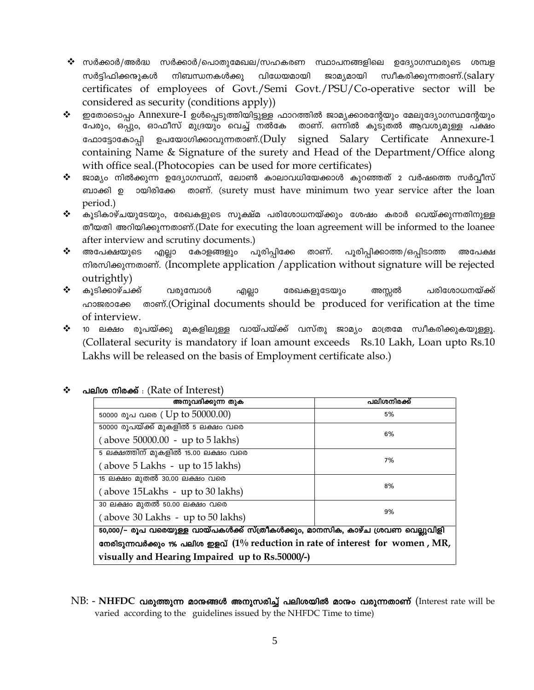- $\bm{\hat{\cdot}}$  സർക്കാർ/അർദ്ധ സർക്കാർ/പൊതുമേഖല/സഹകരണ സ്ഥാപനങ്ങളിലെ ഉദ്യോഗസ്ഥരുടെ ശമ്പള നിബന്ധനകൾക്കു വിധേയമായി ജാമ്യമായി സ്വീകരിക്കുന്നതാണ്.(salary സർട്ടിഫിക്കന്മുകൾ certificates of employees of Govt./Semi Govt./PSU/Co-operative sector will be considered as security (conditions apply))
- ഇതോടൊപ്പം Annexure-I ഉൾപ്പെടുത്തിയിട്ടുള്ള ഫാറത്തിൽ ജാമ്യക്കാരന്റേയും മേലുദ്യോഗസ്ഥന്റേയും  $\ddot{\bullet}$ പേരും, ഒപ്പും, ഓഫീസ് മുദ്രയും വെച്ച് നൽകേ താണ്. ഒന്നിൽ കൂടുതൽ ആവശ്യമുള്ള പക്ഷം ഫോട്ടോകോപ്പി ഉപയോഗിക്കാവുന്നതാണ്.( ${\rm Duly}$ signed Salary Certificate Annexure-1 containing Name & Signature of the surety and Head of the Department/Office along with office seal. (Photocopies can be used for more certificates)
- ജാമ്യം നിൽക്കുന്ന ഉദ്യോഗസ്ഥന്, ലോൺ കാലാവധിയേക്കാൾ കുറഞ്ഞത് 2 വർഷത്തെ സർവ്വീസ്  $\frac{1}{2}$ ബാക്കി ഉ วയിരിക്കേ താണ്. (surety must have minimum two year service after the loan period.)
- $\ddot{\cdot}$ കൂടികാഴ്ചയുടേയും, രേഖകളുടെ സൂക്ഷ്മ പരിശോധനയ്ക്കും ശേഷം കരാർ വെയ്ക്കുന്നതിനുള്ള തീയതി അറിയിക്കുന്നതാണ്.(Date for executing the loan agreement will be informed to the loanee after interview and scrutiny documents.)
- $\ddot{\cdot}$ കോളങ്ങളും പൂരിപ്പിക്കേ താണ്. പൂരിപ്പിക്കാത്ത/ഒപ്പിടാത്ത അപേക്ഷയുടെ എല്ലാ അപേക്ഷ mlomloogmoom. (Incomplete application / application without signature will be rejected outrightly)
- ❖ കൂടിക്കാഴ്ചക്ക് രേഖകളുടേയും വരുമ്പോൾ എല്ലാ അസ്സൽ പരിശോധനയ്ക്ക് <sub>n</sub> momes of the time should be produced for verification at the time ഹാജരാക്കേ of interview.
- ❖ 10 ലക്ഷം രൂപയ്ക്കു മുകളിലുള്ള വായ്പയ്ക്ക് വസ്തു ജാമ്യം മാത്രമേ സ്വീകരിക്കുകയുള്ളൂ. (Collateral security is mandatory if loan amount exceeds Rs.10 Lakh, Loan upto Rs.10 Lakhs will be released on the basis of Employment certificate also.)

| അനുവദിക്കുന്ന തുക                                                               | പലിശനിരക്ക് |  |  |
|---------------------------------------------------------------------------------|-------------|--|--|
|                                                                                 |             |  |  |
| 50000 രൂപ വരെ (Up to 50000.00)                                                  | 5%          |  |  |
| 50000 രൂപയ്ക്ക് മുകളിൽ 5 ലക്ഷം വരെ                                              |             |  |  |
| (above 50000.00 - up to 5 lakhs)                                                | 6%          |  |  |
| 5 ലക്ഷത്തിന് മുകളിൽ 15.00 ലക്ഷം വരെ                                             |             |  |  |
| (above 5 Lakhs - up to 15 lakhs)                                                | 7%          |  |  |
| 15 ലക്ഷം മുതൽ 30.00 ലക്ഷം വരെ                                                   | 8%          |  |  |
| (above 15Lakhs - up to 30 lakhs)                                                |             |  |  |
| 30 ലക്ഷം മുതൽ 50.00 ലക്ഷം വരെ                                                   |             |  |  |
| 9%<br>(above 30 Lakhs - up to 50 lakhs)                                         |             |  |  |
| 50,000/– രൂപ വരെയുള്ള വായ്പകൾക്ക് സ്ത്രീകൾക്കും, മാനസിക, കാഴ്ച ശ്രവണ വെല്ലുവിളി |             |  |  |
| നേരിടുന്നവർക്കും 1% പലിശ ഇളവ് (1% reduction in rate of interest for women, MR,  |             |  |  |
| visually and Hearing Impaired up to Rs.50000/-)                                 |             |  |  |

#### പലിശ നിരക്ക് : (Rate of Interest) ❖

 $NB:$  -  $NHFDC$  വരുത്തുന്ന മാനുങ്ങൾ അനുസരിച്ച് പലിശയിൽ മാനും വരുന്നതാണ് (Interest rate will be varied according to the guidelines issued by the NHFDC Time to time)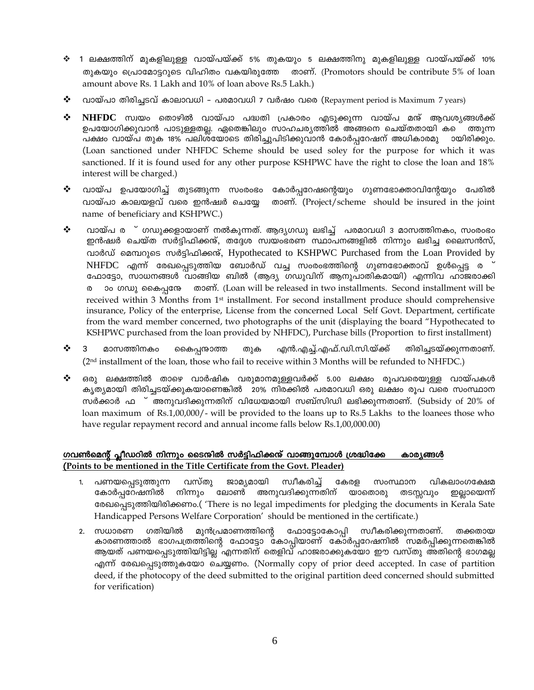- ❖ 1 ലക്ഷത്തിന് മുകളിലുള്ള വായ്പയ്ക്ക് 5% തുകയും 5 ലക്ഷത്തിനു മുകളിലുള്ള വായ്പയ്ക്ക് 10% തുകയും പ്രൊമോട്ടറുടെ വിഹിതം വകയിരുത്തേ താണ്. (Promotors should be contribute 5% of loan amount above Rs. 1 Lakh and 10% of loan above Rs.5 Lakh.)
- ❖ വായ്പാ തിരിച്ചടവ് കാലാവധി – പരമാവധി 7 വർഷം വരെ (Repayment period is Maximum 7 years)
- NHFDC സ്വയം തൊഴിൽ വായ്പാ പദ്ധതി പ്രകാരം എടുക്കുന്ന വായ്പ മന്ദ് ആവശ്യങ്ങൾക്ക് ❖ ഉപയോഗിക്കുവാൻ പാടുള്ളതല്ല. ഏതെങ്കിലും സാഹചര്യത്തിൽ അങ്ങനെ ചെയ്തതായി കടെ ത്തുന്ന പക്ഷം വായ്പ തുക 18% പലിശയോടെ തിരിച്ചുപിടിക്കുവാൻ കോർപ്പറേഷന് അധികാരമു ായിരിക്കും. (Loan sanctioned under NHFDC Scheme should be used soley for the purpose for which it was sanctioned. If it is found used for any other purpose KSHPWC have the right to close the loan and 18% interest will be charged.)
- ❖ വായ്പ ഉപയോഗിച്ച് തുടങ്ങുന്ന സംരംഭം കോർപ്പറേഷന്റെയും ഗുണഭോക്താവിന്റേയും പേരിൽ വായ്പാ കാലയളവ് വരെ ഇൻഷ്വർ ചെയ്യേ താണ്. (Project/scheme should be insured in the joint name of beneficiary and KSHPWC.)
- വായ്പ ര ് ഗഡുക്കളായാണ് നൽകുന്നത്. ആദ്യഗഡു ലഭിച്ച് പരമാവധി 3 മാസത്തിനകം, സംരംഭം ❖ ഇൻഷർ ചെയ്ത സർട്ടിഫിക്കന്ദ്, തദ്ദേശ സ്വയംഭരണ സ്ഥാപനങ്ങളിൽ നിന്നും ലഭിച്ച ലൈസൻസ്, വാർഡ് മെമ്പറുടെ സർട്ടിഫിക്കന്റ്, Hypothecated to KSHPWC Purchased from the Loan Provided by NHFDC എന്ന് രേഖപ്പെടുത്തിയ ബോർഡ് വച്ച സംരംഭത്തിന്റെ ഗുണഭോക്താവ് ഉൾപ്പെട്ട ര ഫോട്ടോ, സാധനങ്ങൾ വാങ്ങിയ ബിൽ (ആദ്യ ഗഡുവിന് ആനുപാതികമായി) എന്നിവ ഹാജരാക്കി თათი. (Loan will be released in two installments. Second installment will be ാം ഗഡു കൈപ്പനേ  $\omega$ received within 3 Months from 1<sup>st</sup> installment. For second installment produce should comprehensive insurance, Policy of the enterprise, License from the concerned Local Self Govt. Department, certificate from the ward member concerned, two photographs of the unit (displaying the board "Hypothecated to KSHPWC purchased from the loan provided by NHFDC), Purchase bills (Proportion to first installment)
- എൻ.എച്ച്.എഫ്.ഡി.സി.യ്ക്ക്  $\cdot$ മാസത്തിനകം കൈപ്പനുകാത്ത തുക തിരിച്ചടയ്ക്കുന്നതാണ്. (2<sup>nd</sup> installment of the loan, those who fail to receive within 3 Months will be refunded to NHFDC.)
- $\cdot$ ഒരു ലക്ഷത്തിൽ താഴെ വാർഷിക വരുമാനമുള്ളവർക്ക് 5.00 ലക്ഷം രൂപവരെയുള്ള വായ്പകൾ കൃത്യമായി തിരിച്ചടയ്ക്കുകയാണെങ്കിൽ 20% നിരക്കിൽ പരമാവധി ഒരു ലക്ഷം രുപ വരെ സംസ്ഥാന സർക്കാർ ഫ ് അനുവദിക്കുന്നതിന് വിധേയമായി സബ്സിഡി ലഭിക്കുന്നതാണ്. (Subsidy of  $20\%$  of loan maximum of Rs.1,00,000/- will be provided to the loans up to Rs.5 Lakhs to the loanees those who have regular repayment record and annual income falls below Rs.1,00,000.00)

### ഗവൺമെന്റ് പ്ലീഡറിൽ നിന്നും ടൈന്മിൽ സർട്ടിഫിക്കന് വാങ്ങുമ്പോൾ ശ്രദ്ധിക്കേ കാര\ങ്ങൾ (Points to be mentioned in the Title Certificate from the Govt. Pleader)

- ജാമ്യമായി  $1.$ പണയപ്പെടുത്തുന്ന വസ്തു സ്വീകരിച്ച് കേരള സംസ്ഥാന വികലാംഗക്ഷേമ കോർപ്പറേഷനിൽ നിന്നും ലോൺ അനുവദിക്കുന്നതിന് യാതൊരു തടസ്സവും ഇല്ലായെന്ന് രേഖപ്പെടുത്തിയിരിക്കണം.( 'There is no legal impediments for pledging the documents in Kerala Sate Handicapped Persons Welfare Corporation' should be mentioned in the certificate.)
- 2. സധാരണ ഗതിയിൽ മുൻപ്രമാണത്തിന്റെ ഫോട്ടോകോപ്പി സ്വീകരിക്കുന്നതാണ്. തക്കതായ കാരണത്താൽ ഭാഗപത്രത്തിന്റെ ഫോട്ടോ കോപ്പിയാണ് കോർപ്പറേഷനിൽ സമർപ്പിക്കുന്നതെങ്കിൽ ആയത് പണയപ്പെടുത്തിയിട്ടില്ല എന്നതിന് തെളിവ് ഹാജരാക്കുകയോ ഈ വസ്തു അതിന്റെ ഭാഗമല്ല എന്ന് രേഖപ്പെടുത്തുകയോ ചെയ്യണം. (Normally copy of prior deed accepted. In case of partition deed, if the photocopy of the deed submitted to the original partition deed concerned should submitted for verification)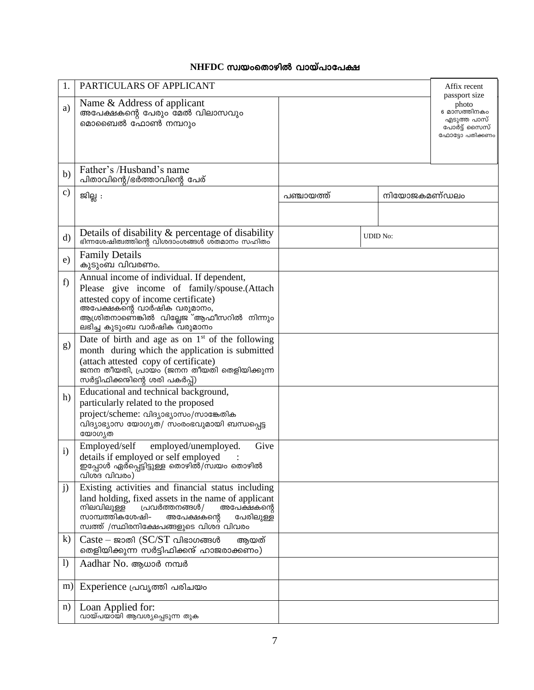# $NHFDC$  സ്വയംതൊഴിൽ വായ്പാപേക്ഷ

| 1.               | PARTICULARS OF APPLICANT                                                                                                                                                                                                                                   |            |                 |              | Affix recent                                                                             |
|------------------|------------------------------------------------------------------------------------------------------------------------------------------------------------------------------------------------------------------------------------------------------------|------------|-----------------|--------------|------------------------------------------------------------------------------------------|
| a)               | Name & Address of applicant<br>അപേക്ഷകന്റെ പേരും മേൽ വിലാസവും<br>മൊബൈൽ ഫോൺ നമ്പറും                                                                                                                                                                         |            |                 |              | passport size<br>photo<br>6 മാസത്തിനകം<br>എടുത്ത പാസ്<br>പോർട്ട് സൈസ്<br>ഫോട്ടോ പതിക്കണം |
| b)               | Father's /Husband's name<br>പിതാവിന്റെ/ഭർത്താവിന്റെ പേര്                                                                                                                                                                                                   |            |                 |              |                                                                                          |
| $\mathbf{c})$    | ജില്ല :                                                                                                                                                                                                                                                    | പഞ്ചായത്ത് |                 | നിയോജകമണ്ഡലം |                                                                                          |
|                  |                                                                                                                                                                                                                                                            |            |                 |              |                                                                                          |
| $\rm d$          | Details of disability & percentage of disability<br>ഭിന്നശേഷിത്വത്തിന്റെ വിശദാംശങ്ങൾ ശ്തമാനം സഹിതം                                                                                                                                                         |            | <b>UDID</b> No: |              |                                                                                          |
| e)               | <b>Family Details</b><br>കുടുംബ വിവരണം.                                                                                                                                                                                                                    |            |                 |              |                                                                                          |
| f)               | Annual income of individual. If dependent,<br>Please give income of family/spouse.(Attach<br>attested copy of income certificate)<br>അപേക്ഷകന്റെ വാർഷിക വരുമാനം,<br>ആശ്രിതനാണെ്ങ്കിൽ വില്ലേജ <sup>്-</sup> ആഫീസറിൽ നിന്നും<br>ലഭിച്ച കുടുംബ വാർഷിക വരുമാനം |            |                 |              |                                                                                          |
| g)               | Date of birth and age as on $1st$ of the following<br>month during which the application is submitted<br>(attach attested copy of certificate)<br>ജനന തീയതി, പ്രായം (ജനന തീയതി തെളിയിക്കുന്ന<br>സർട്ടിഫിക്കന്ദിന്റെ ശരി പകർപ്പ്)                           |            |                 |              |                                                                                          |
| h)               | Educational and technical background,<br>particularly related to the proposed<br>project/scheme: വിദ്യാഭ്യാസം/സാങ്കേതിക<br>വിദ്യാഭ്യാസ യോഗ്യത/ സംരംഭവുമായി ബന്ധപ്പെട്ട<br>യോഗ്യത                                                                           |            |                 |              |                                                                                          |
| $\mathbf{i}$     | Employed/self<br>Give<br>employed/unemployed.<br>details if employed or self employed<br>ഇപ്പോൾ ഏർപ്പെട്ടിട്ടുള്ള തൊഴിൽ/സ്വയം തൊഴിൽ<br>വിശ്ദ വിവരം)                                                                                                        |            |                 |              |                                                                                          |
| j)               | Existing activities and financial status including<br>land holding, fixed assets in the name of applicant<br>നിലവിലുള്ള<br>പ്രവർത്തനങ്ങൾ/<br>അപേക്ഷകന്റെ<br>സാമ്പത്തികശേഷി–<br>അപേക്ഷകന്റെ<br>പേരിലുള്ള<br>സ്വത്ത് /സ്ഥിരനിക്ഷേപങ്ങളുടെ വിശദ വിവരം         |            |                 |              |                                                                                          |
| $\bf k)$         | Caste – ജാതി ( $SC/ST$ വിഭാഗങ്ങൾ<br>ആയത്<br>തെളിയിക്കുന്ന സർട്ടിഫിക്കന്ദ് ഹാജരാക്കണം)                                                                                                                                                                      |            |                 |              |                                                                                          |
| $\left( \right)$ | Aadhar No. ആധാർ നമ്പർ                                                                                                                                                                                                                                      |            |                 |              |                                                                                          |
| m)               | Experience പ്രവൃത്തി പരിചയം                                                                                                                                                                                                                                |            |                 |              |                                                                                          |
| n)               | Loan Applied for:<br>വായ്പയായി ആവശ്യപ്പെടുന്ന തുക                                                                                                                                                                                                          |            |                 |              |                                                                                          |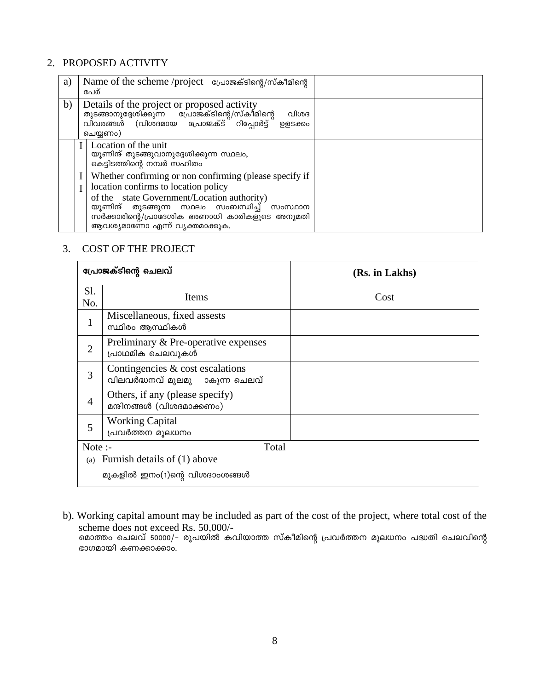# 2. PROPOSED ACTIVITY

| a) |                                                                                                                                                                                                                                                                                     | Name of the scheme /project പ്രോജക്ടിന്റെ/സ്കീമിന്റെ<br>പേര്                                                                                                             |  |
|----|-------------------------------------------------------------------------------------------------------------------------------------------------------------------------------------------------------------------------------------------------------------------------------------|--------------------------------------------------------------------------------------------------------------------------------------------------------------------------|--|
| b) |                                                                                                                                                                                                                                                                                     | Details of the project or proposed activity<br>തുടങ്ങാനുദ്ദേശിക്കുന്ന പ്രോജക്ടിന്റെ/സ്കീമിന്റെ<br>വിവരങ്ങൾ (വിശദമായ പ്രോജക്ട് റിപ്പോർട്ട്<br>വിശദ<br>൭ളടക്കം<br>ചെയ്യണം) |  |
|    |                                                                                                                                                                                                                                                                                     | Location of the unit<br>യൂണിന്റ് തുടങ്ങുവാനുദ്ദേശിക്കുന്ന സ്ഥലം,<br>കെട്ടിടത്തിന്റെ നമ്പർ സഹിതം                                                                          |  |
|    | Whether confirming or non confirming (please specify if<br>location confirms to location policy<br>of the state Government/Location authority)<br>യൂണിന്ദ് തുടങ്ങുന്ന സ്ഥലം സംബന്ധിച്ച് സംസ്ഥാന<br>സർക്കാരിന്റെ/പ്രാദേശിക ഭരണാധി കാരികളുടെ അനുമതി<br>ആവശ്യമാണോ എന്ന് വ്യക്തമാക്കുക. |                                                                                                                                                                          |  |

# 3. COST OF THE PROJECT

| പ്രോജക്ടിന്റെ ചെലവ് |                                                                       | (Rs. in Lakhs) |  |
|---------------------|-----------------------------------------------------------------------|----------------|--|
| Sl.<br>No.          | Items                                                                 | Cost           |  |
| $\mathbf{1}$        | Miscellaneous, fixed assests<br>സ്ഥിരം ആസ്ഥികൾ                        |                |  |
| $\overline{2}$      | Preliminary & Pre-operative expenses<br>പ്രാഥമിക ചെലവുകൾ              |                |  |
| 3                   | Contingencies $\&$ cost escalations<br>വിലവർദ്ധനവ് മൂലമു ാകുന്ന ചെലവ് |                |  |
| $\overline{4}$      | Others, if any (please specify)<br>മന്ദിനങ്ങൾ (വിശദമാക്കണം)           |                |  |
| 5                   | <b>Working Capital</b><br>പ്രവർത്തന മൂലധനം                            |                |  |
| Note :-<br>Total    |                                                                       |                |  |
|                     | (a) Furnish details of $(1)$ above                                    |                |  |
|                     | മുകളിൽ ഇനം(1)ന്റെ വിശദാംശങ്ങൾ                                         |                |  |

b). Working capital amount may be included as part of the cost of the project, where total cost of the scheme does not exceed Rs. 50,000/-<br>മൊത്തം ചെലവ് 50000/- രൂപയിൽ കവിയാത്ത സ്കീമിന്റെ പ്രവർത്തന മൂലധനം പദ്ധതി ചെലവിന്റെ ഭാഗമായി കണക്കാക്കാം.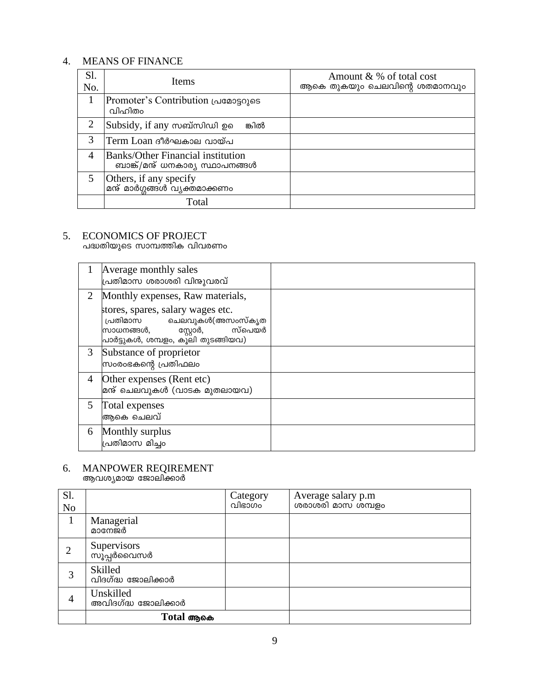# 4. MEANS OF FINANCE

| Sl.<br>No.     | Items                                                                       | Amount & % of total cost<br>ആകെ തുകയും ചെലവിന്റെ ശതമാനവും |
|----------------|-----------------------------------------------------------------------------|-----------------------------------------------------------|
|                | Promoter's Contribution (grassoles<br>വിഹിതം                                |                                                           |
| $\overline{2}$ | Subsidy, if any സബ്സിഡി ഉ<br>ങ്കിൽ                                          |                                                           |
| 3              | Term Loan ദീർഘകാല വായ്പ                                                     |                                                           |
| 4              | <b>Banks/Other Financial institution</b><br>ബാങ്ക്/മന്മ് ധനകാര്യ സ്ഥാപനങ്ങൾ |                                                           |
| 5              | Others, if any specify<br><sup>l</sup> മന്റ് മാർഗ്ഗങ്ങൾ വ്യക്തമാക്കണം       |                                                           |
|                | Total                                                                       |                                                           |

# 5. ECONOMICS OF PROJECT<br>പദ്ധതിയുടെ സാമ്പത്തിക വിവരണം

|    | Average monthly sales<br>പ്രതിമാസ ശരാശരി വിന്ദുവരവ്                                                                                     |  |
|----|-----------------------------------------------------------------------------------------------------------------------------------------|--|
| 2  | Monthly expenses, Raw materials,                                                                                                        |  |
|    | stores, spares, salary wages etc.<br>പ്രതിമാസ ചെലവുകൾ(അസംസ്കൃത<br>സ്പെയർ<br>സ്റ്റോർ,<br>സാധനങ്ങൾ,<br>പാർട്ടുകൾ, ശമ്പളം, കൂലി തുടങ്ങിയവ) |  |
| 3  | Substance of proprietor<br>സംരംഭകന്റെ പ്രതിഫലം                                                                                          |  |
| 4  | Other expenses (Rent etc)<br>മന്ത് ചെലവുകൾ (വാടക മുതലായവ)                                                                               |  |
| 5. | Total expenses<br>അകെ ചെലവ്                                                                                                             |  |
| 6  | Monthly surplus<br>പ്രതിമാസ മിച്ചം                                                                                                      |  |

# 6. MANPOWER REQIREMENT<br>ആവശ്യമായ ജോലിക്കാർ

| Sl.<br>N <sub>0</sub> |                                  | Category<br>വിഭാഗം | Average salary p.m<br>ശരാശരി മാസ ശമ്പളം |
|-----------------------|----------------------------------|--------------------|-----------------------------------------|
|                       | Managerial<br>മാനേജർ             |                    |                                         |
|                       | Supervisors<br>സൂപ്പർവൈസർ        |                    |                                         |
| 3                     | Skilled<br>വിദഗ്ദ്ധ ജോലിക്കാർ    |                    |                                         |
| 4                     | Unskilled<br>അവിദഗ്ദ്ധ ജോലിക്കാർ |                    |                                         |
|                       | Total ആകെ                        |                    |                                         |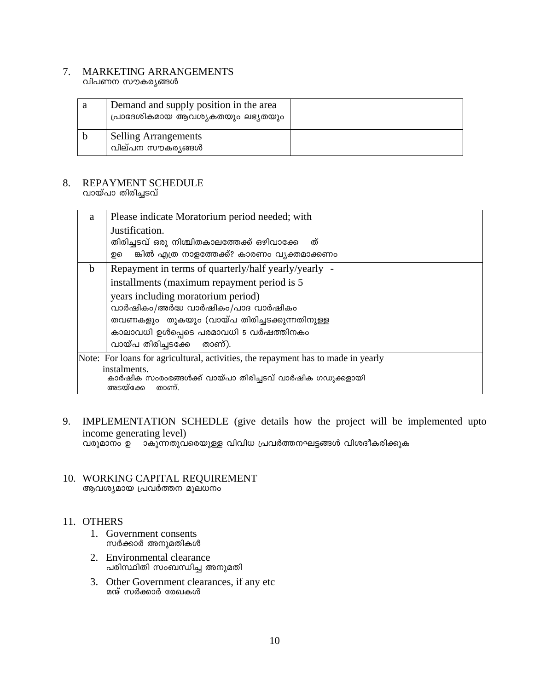#### 7. MARKETING ARRANGEMENTS വിപണന സൗകര്യങ്ങൾ

| Demand and supply position in the area<br>പ്രാദേശികമായ ആവശ്യകതയും ലഭ്യതയും |  |
|----------------------------------------------------------------------------|--|
| <b>Selling Arrangements</b><br>വില്പന സൗകര്യങ്ങൾ                           |  |

### 8. REPAYMENT SCHEDULE വായ്പാ തിരിച്ചടവ്

| a                                                                                 | Please indicate Moratorium period needed; with                                                |  |  |
|-----------------------------------------------------------------------------------|-----------------------------------------------------------------------------------------------|--|--|
|                                                                                   | Justification.                                                                                |  |  |
|                                                                                   | തിരിച്ചടവ് ഒരു നിശ്ചിതകാലത്തേക്ക് ഒഴിവാക്കേ<br>ത്                                             |  |  |
|                                                                                   | ങ്കിൽ എത്ര നാളത്തേക്ക്? കാരണം വ്യക്തമാക്കണം<br>றவ                                             |  |  |
| <sub>b</sub>                                                                      | Repayment in terms of quarterly/half yearly/yearly -                                          |  |  |
|                                                                                   | installments (maximum repayment period is 5)                                                  |  |  |
|                                                                                   | years including moratorium period)                                                            |  |  |
|                                                                                   | വാർഷികം/അർദ്ധ വാർഷികം/പാദ വാർഷികം                                                             |  |  |
|                                                                                   | തവണകളും തുകയും (വായ്പ തിരിച്ചടക്കുന്നതിനുള്ള                                                  |  |  |
|                                                                                   | കാലാവധി ഉൾപ്പെടെ പരമാവധി 5 വർഷത്തിനകം                                                         |  |  |
|                                                                                   | വായ്പ തിരിച്ചടക്കേ<br>താണ്).                                                                  |  |  |
| Note: For loans for agricultural, activities, the repayment has to made in yearly |                                                                                               |  |  |
|                                                                                   | instalments.<br>കാർഷിക സംരംഭങ്ങൾക്ക് വായ്പാ തിരിച്ചടവ് വാർഷിക ഗഡുക്കളായി<br>അടയ്ക്കേ<br>താണ്. |  |  |

- 9. IMPLEMENTATION SCHEDLE (give details how the project will be implemented upto income generating level) വരുമാനം ഉ ാകുന്നതുവരെയുള്ള വിവിധ പ്രവർത്തനഘട്ടങ്ങൾ വിശദീകരിക്കുക
- 10. WORKING CAPITAL REQUIREMENT ആവശ്യമായ പ്രവർത്തന മൂലധനം

# 11. OTHERS

- 1. Government consents സർക്കാർ അനുമതികൾ
- 2. Environmental clearance പരിസ്ഥിതി സംബന്ധിച്ച അനുമതി
- 3. Other Government clearances, if any etc മന്ദ് സർക്കാർ രേഖകൾ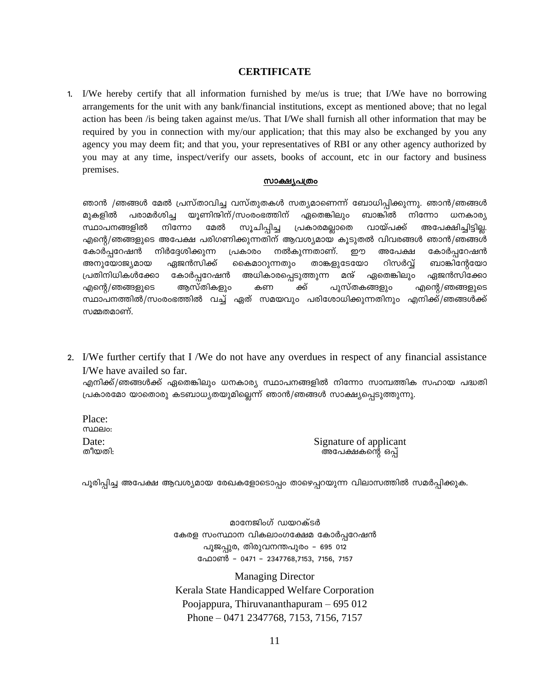## **CERTIFICATE**

1. I/We hereby certify that all information furnished by me/us is true; that I/We have no borrowing arrangements for the unit with any bank/financial institutions, except as mentioned above; that no legal action has been /is being taken against me/us. That I/We shall furnish all other information that may be required by you in connection with my/our application; that this may also be exchanged by you any agency you may deem fit; and that you, your representatives of RBI or any other agency authorized by you may at any time, inspect/verify our assets, books of account, etc in our factory and business premises.

### സാക്ഷ്യപത്രം

ഞാൻ /ഞങ്ങൾ മേൽ പ്രസ്താവിച്ച വസ്തുതകൾ സത്യമാണെന്ന് ബോധിപ്പിക്കുന്നു. ഞാൻ/ഞങ്ങൾ മുകളിൽ പരാമർശിച്ച യൂണിന്ദിന്/സംരംഭത്തിന് ഏതെങ്കിലും ബാങ്കിൽ നിന്നോ ധനകാര്യ സ്ഥാപനങ്ങളിൽ നിന്നോ വായ്പക്ക് മേൽ സൂചിപ്പിച്ച പ്രകാരമല്ലാതെ അപേക്ഷിച്ചിട്ടില്ല. എന്റെ/ഞങ്ങളുടെ അപേക്ഷ പരിഗണിക്കുന്നതിന് ആവശ്യമായ കൂടുതൽ വിവരങ്ങൾ ഞാൻ/ഞങ്ങൾ നിർദ്ദേശിക്കുന്ന നൽകുന്നതാണ്. കോർപ്പറേഷൻ പ്രകാരം றற അപേക്ഷ കോർപ്പറേഷൻ അനുയോജ്യമായ ഏജൻസിക്ക് താങ്കളുടേയോ റിസർവ് ബാങ്കിന്റേയോ കൈമാറുന്നതും പ്രതിനിധികൾക്കോ കോർപ്പറേഷൻ അധികാരപ്പെടുത്തുന്ന മന് ഏതെങ്കിലും ഏജൻസിക്കോ ആസ്തികളും ക്ക് പുസ്തകങ്ങളും എന്റെ/ഞങ്ങളുടെ എന്റെ/ഞങ്ങളുടെ കണ സ്ഥാപനത്തിൽ/സംരംഭത്തിൽ വച്ച് ഏത് സമയവും പരിശോധിക്കുന്നതിനും എനിക്ക്/ഞങ്ങൾക്ക് സമ്മതമാണ്.

2. I/We further certify that I/We do not have any overdues in respect of any financial assistance I/We have availed so far.

എനിക്ക്/ഞങ്ങൾക്ക് ഏതെങ്കിലും ധനകാര്യ സ്ഥാപനങ്ങളിൽ നിന്നോ സാമ്പത്തിക സഹായ പദ്ധതി പ്രകാരമോ യാതൊരു കടബാധ്യതയുമില്ലെന്ന് ഞാൻ/ഞങ്ങൾ സാക്ഷ്യപ്പെടുത്തുന്നു.

Place: **munelo:** Date: തീയതി:

Signature of applicant അപേക്ഷകന്റെ ഒപ്പ്

പൂരിപ്പിച്ച അപേക്ഷ ആവശ്യമായ രേഖകളോടൊപ്പം താഴെപ്പറയുന്ന വിലാസത്തിൽ സമർപ്പിക്കുക.

മാനേജിംഗ് ഡയറക്ടർ കേരള സംസ്ഥാന വികലാംഗക്ഷേമ കോർപ്പറേഷൻ പൂജപ്പുര, തിരുവനന്തപുരം – 695 012 ഫോൺ – 0471 – 2347768,7153, 7156, 7157

**Managing Director** Kerala State Handicapped Welfare Corporation Poojappura, Thiruvananthapuram  $-695012$ Phone - 0471 2347768, 7153, 7156, 7157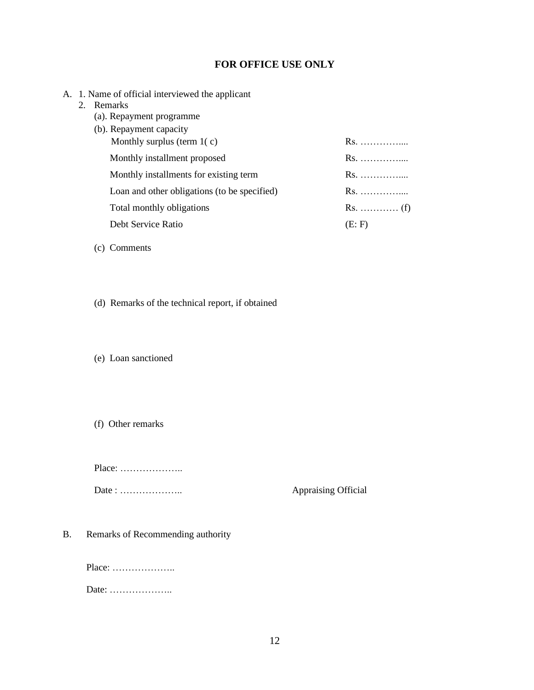# **FOR OFFICE USE ONLY**

- A. 1. Name of official interviewed the applicant
	- 2. Remarks
		- (a). Repayment programme
		- (b). Repayment capacity Monthly surplus (term 1( c) Rs. …………….. Monthly installment proposed Rs. …………….. Monthly installments for existing term Rs. …………….. Loan and other obligations (to be specified) Rs. …………….. Total monthly obligations Rs. ………… (f) Debt Service Ratio (E: F)
		- (c) Comments
		- (d) Remarks of the technical report, if obtained

(e) Loan sanctioned

(f) Other remarks

Place: ………………..

Date : ……………….. Appraising Official

B. Remarks of Recommending authority

Place: ………………..

Date: ………………..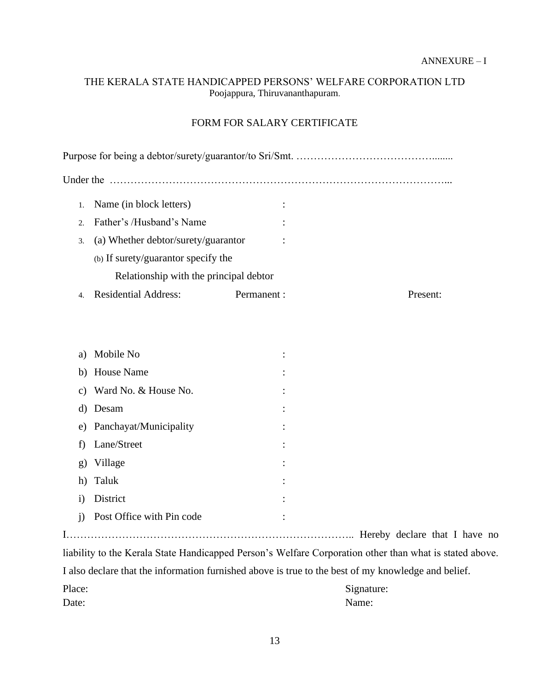# THE KERALA STATE HANDICAPPED PERSONS' WELFARE CORPORATION LTD Poojappura, Thiruvananthapuram.

# FORM FOR SALARY CERTIFICATE

| Under the                              |                                     |             |          |  |  |
|----------------------------------------|-------------------------------------|-------------|----------|--|--|
|                                        | Name (in block letters)             |             |          |  |  |
| $\mathcal{D}$                          | Father's /Husband's Name            |             |          |  |  |
| 3.                                     | (a) Whether debtor/surety/guarantor |             |          |  |  |
|                                        | (b) If surety/guarantor specify the |             |          |  |  |
| Relationship with the principal debtor |                                     |             |          |  |  |
|                                        | <b>Residential Address:</b>         | Permanent : | Present: |  |  |

| a)           | Mobile No                 |                |
|--------------|---------------------------|----------------|
|              | b) House Name             | $\ddot{\cdot}$ |
|              | c) Ward No. & House No.   |                |
| d)           | Desam                     |                |
|              | e) Panchayat/Municipality |                |
| $f$ )        | Lane/Street               |                |
|              | g) Village                |                |
|              | h) Taluk                  | :              |
| $\mathbf{i}$ | District                  | :              |
| $\mathbf{1}$ | Post Office with Pin code |                |
|              |                           |                |

I……………………………………………………………………….. Hereby declare that I have no liability to the Kerala State Handicapped Person's Welfare Corporation other than what is stated above. I also declare that the information furnished above is true to the best of my knowledge and belief. Place: Signature: Signature: Date: Name: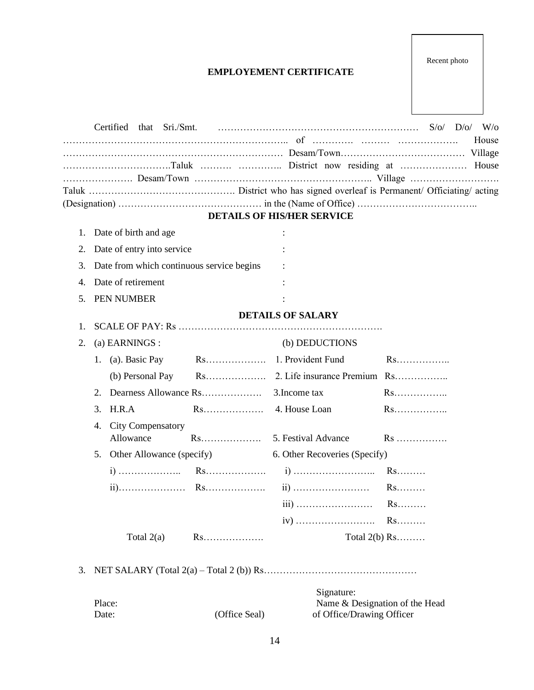# **EMPLOYEMENT CERTIFICATE**

|    |                                           |               |                                   | House                          |  |  |
|----|-------------------------------------------|---------------|-----------------------------------|--------------------------------|--|--|
|    |                                           |               |                                   |                                |  |  |
|    |                                           |               |                                   |                                |  |  |
|    |                                           |               |                                   |                                |  |  |
|    |                                           |               |                                   |                                |  |  |
|    |                                           |               | <b>DETAILS OF HIS/HER SERVICE</b> |                                |  |  |
| 1. | Date of birth and age                     |               |                                   |                                |  |  |
| 2. | Date of entry into service                |               |                                   |                                |  |  |
| 3. | Date from which continuous service begins |               |                                   |                                |  |  |
| 4. | Date of retirement                        |               |                                   |                                |  |  |
| 5. | PEN NUMBER                                |               |                                   |                                |  |  |
|    |                                           |               | <b>DETAILS OF SALARY</b>          |                                |  |  |
| 1. |                                           |               |                                   |                                |  |  |
| 2. | (a) EARNINGS :                            |               | (b) DEDUCTIONS                    |                                |  |  |
|    | 1. (a). Basic Pay                         |               |                                   |                                |  |  |
|    | (b) Personal Pay                          |               |                                   |                                |  |  |
|    | 2.                                        |               | 3. Income tax                     | Rs                             |  |  |
|    | H.R.A<br>3.                               |               |                                   |                                |  |  |
|    | <b>City Compensatory</b><br>4.            |               |                                   |                                |  |  |
|    | Allowance                                 |               |                                   | Rs                             |  |  |
|    | 5. Other Allowance (specify)              |               | 6. Other Recoveries (Specify)     |                                |  |  |
|    |                                           |               |                                   |                                |  |  |
|    |                                           |               |                                   |                                |  |  |
|    |                                           |               |                                   | $Rs.$                          |  |  |
|    |                                           |               |                                   | $Rs.\dots\dots$                |  |  |
|    | Total $2(a)$                              | Rs            |                                   | Total $2(b)$ Rs                |  |  |
|    |                                           |               |                                   |                                |  |  |
| 3. |                                           |               |                                   |                                |  |  |
|    |                                           |               | Signature:                        |                                |  |  |
|    | Place:                                    | (Office Seal) | of Office/Drawing Officer         | Name & Designation of the Head |  |  |
|    | Date:                                     |               |                                   |                                |  |  |